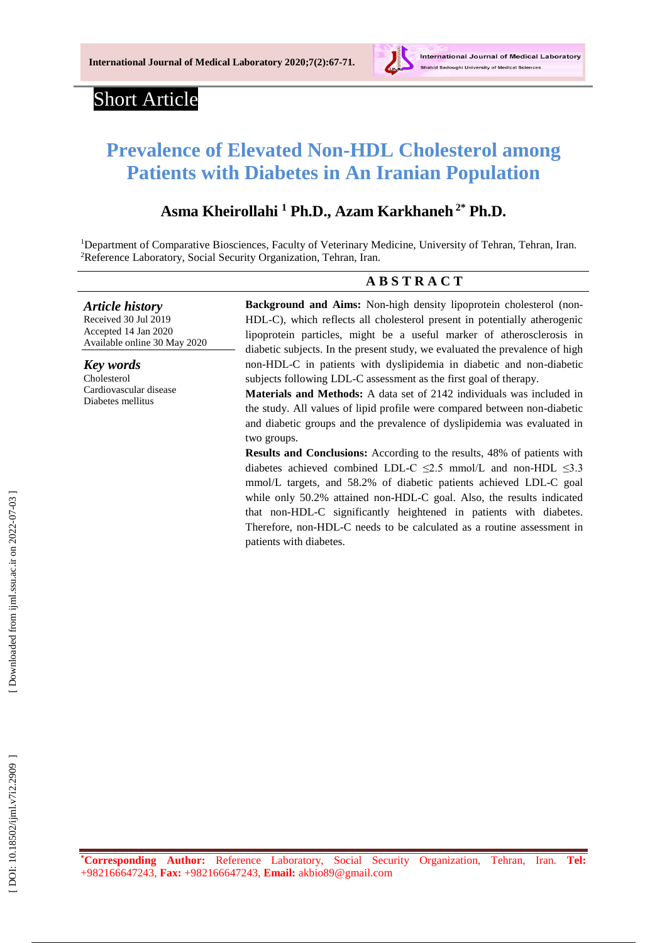

# Short Article

# **Prevalence of Elevated Non-HDL Cholesterol among Patients with Diabetes in An Iranian Population**

# **Asma Kheirollahi <sup>1</sup> Ph.D., Azam Karkhaneh 2\* Ph.D.**

<sup>1</sup>Department of Comparative Biosciences, Faculty of Veterinary Medicine, University of Tehran, Tehran, Iran. <sup>2</sup>Reference Laboratory, Social Security Organization, Tehran, Iran.

### **A B S T R A C T**

*Article history* Received 30 Jul 201 9 Accepted 14 Jan 2020 Available online 30 May 2020

*Key words* [Cholesterol](https://www.ncbi.nlm.nih.gov/mesh/68008078) Cardiovascular disease Diabetes [mellitus](https://www.ncbi.nlm.nih.gov/mesh/68003920)

Background and Aims: Non-high density lipoprotein cholesterol (non-HDL -C), which reflects all cholesterol present in potentially atherogenic lipoprotein particles, might be a useful marker of atherosclerosis in diabetic subjects. In the present study, we evaluated the prevalence of high non -HDL - C in patients with dyslipidemia in diabetic and non -diabetic subjects following LDL - C assessment as the first goal of therapy .

**Materials and Methods:** A data set of 2142 individuals was included in the study. All values of lipid profile were compared between non -diabetic and diabetic groups and the prevalence of dyslipidemia was evaluated in two groups.

**Results and Conclusion s :** According to the results, 48% of patients with diabetes achieved combined LDL-C  $\leq$ 2.5 mmol/L and non-HDL  $\leq$ 3.3 mmol/L targets , and 58.2% of diabetic patients achieved LDL -C goal while only 50.2% attained non -HDL -C goal. Also, the results indicated that non -HDL -C significantly heightened in patients with diabetes. Therefore, non-HDL-C needs to be calculated as a routine assessment in patients with diabetes.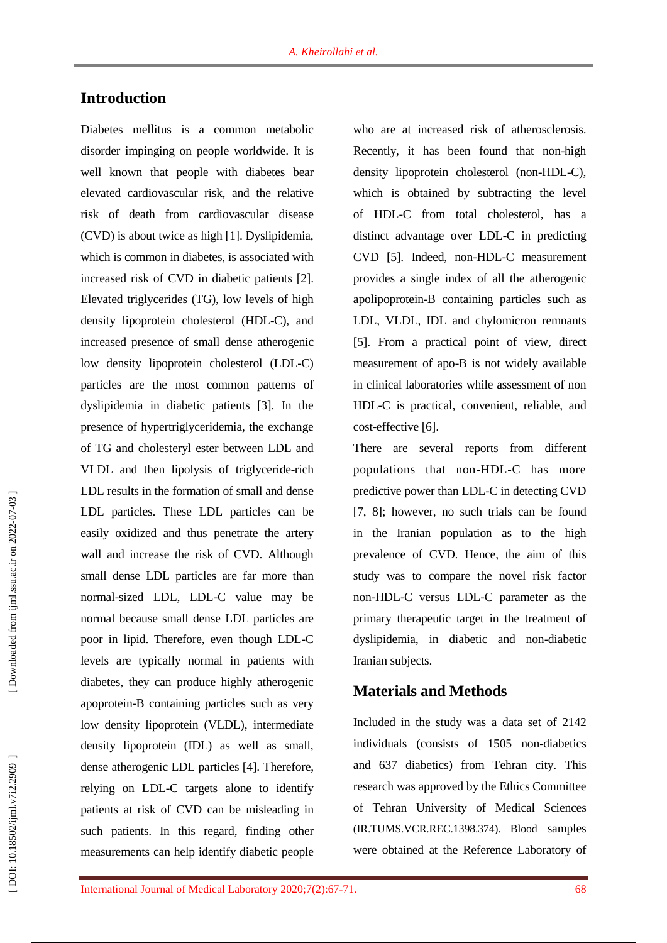## **Introduction**

Diabetes mellitus is a common metabolic disorder impinging on people worldwide. It is well known that people with diabetes bear elevated cardiovascular risk, and the relative risk of death from cardiovascular disease (CVD) is about twice as high [1]. Dyslipidemia, which is common in diabetes, is associated with increased risk of CVD in diabetic patients [2]. Elevated triglycerides (TG), low levels of high density lipoprotein cholesterol (HDL -C), and increased presence of small dense atherogenic low density lipoprotein cholesterol (LDL -C) particles are the most common pattern s of dyslipidemia in diabetic patients [3]. In the presence of hypertriglyceridemia, the exchange of TG and cholesteryl ester between LDL and VLDL and then lipolysis of triglyceride -rich LDL results in the formation of small and dense LDL particles. These LDL particles can be easily oxidized and thus penetrate the artery wall and increase the risk of CVD. Although small dense LDL particles are far more than normal -sized LDL, LDL -C value may be normal because small dense LDL particles are poor in lipid. Therefore, even though LDL -C levels are typically normal in patients with diabetes, they can produce highly atherogenic apoprotein -B containing particles such as very low density lipoprotein (VLDL), intermediate density lipoprotein (IDL) as well as small, dense atherogenic LDL particles [4]. Therefore, relying on LDL -C targets alone to identify patients at risk of CVD can be misleading in such patients. In this regard, finding other measurements can help identify diabetic people

who are at increased risk of atherosclerosis. Recently, it has been found that non -high density lipoprotein cholesterol (non-HDL-C), which is obtained by subtracting the level of HDL -C from total cholesterol, has a distinct advantage over LDL -C in predicting CVD [5]. Indeed, non -HDL -C measurement provides a single index of all the atherogenic apolipoprotein -B containing particles such as LDL, VLDL, IDL and chylomicron remnants [5]. From a practical point of view, direct measurement of apo -B is not widely available in clinical laboratories while assessment of non HDL -C is practical, convenient, reliable, and cost -effective [6].

There are several reports from different populations that non -HDL -C has more predictive power than LDL -C in detecting CVD [7, 8]; however, no such trials can be found in the Iranian population as to the high prevalence of CVD. Hence, the aim of this study was to compare the novel risk factor non -HDL -C versus LDL -C parameter as the primary therapeutic target in the treatment of dyslipidemia, in diabetic and non -diabetic Iranian subjects.

## **Materials and Methods**

Included in the study was a data set of 2142 individuals (consists of 1505 non-diabetics and 637 diabetics) from Tehran city . This research was approved by the Ethics Committee of Tehran University of Medical Sciences (IR.TUMS.VCR.REC.1398.374). Blood samples were obtained at the Reference Laboratory of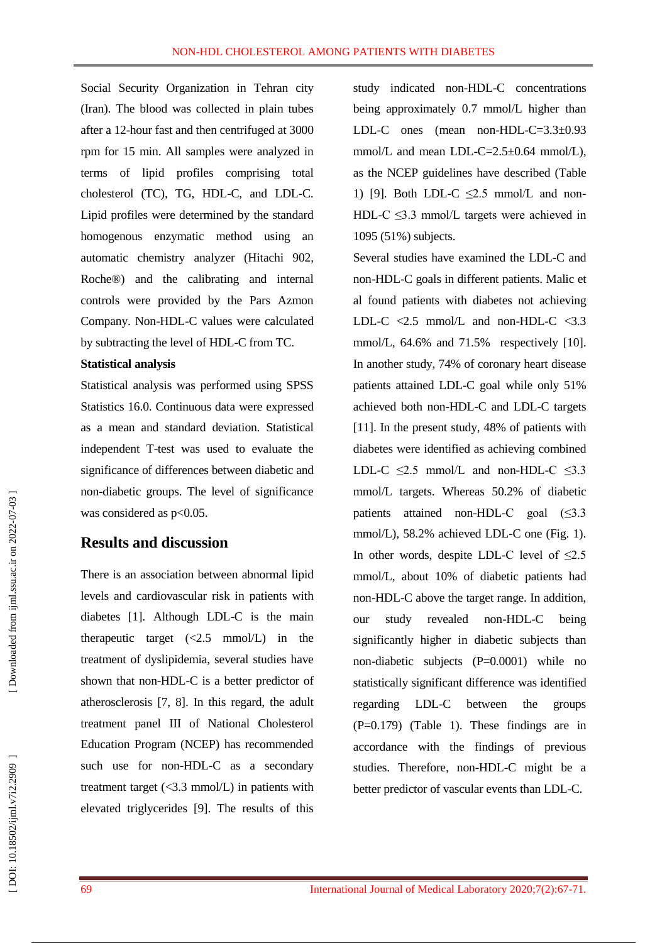Social Security Organization in Tehran city (Iran). The blood was collected in plain tubes after a 12 -hour fast and then centrifuged at 3000 rpm for 15 min. All samples were analyzed in terms of lipid profiles comprising total cholesterol (TC), TG, HDL -C, and LDL -C. Lipid profiles were determined by the standard homogenous enzymatic method using an automatic chemistry analyzer (Hitachi 902, Roche®) and the calibrating and internal controls were provided by the Pars Azmon Company. Non -HDL -C values were calculated by subtracting the level of HDL -C from TC.

#### **Statistical analysis**

Statistical analysis was performed using SPSS Statistics 16.0. Continuous data were expressed as a mean and standard deviation. Statistical independent T -test was used to evaluate the significance of differences between diabetic and non -diabetic groups. The level of significance was considered as  $p<0.05$ .

## **Results and discussion**

There is an association between abnormal lipid levels and cardiovascular risk in patients with diabetes [1]. Although LDL -C is the main therapeutic target  $(<2.5 \text{ mmol/L})$  in the treatment of dyslipidemia, several studies have shown that non -HDL -C is a better predictor of atherosclerosis [7, 8]. In this regard, the adult treatment panel III of National Cholesterol Education Program (NCEP) has recommended such use for non-HDL-C as a secondary treatment target  $\langle$  <3.3 mmol/L) in patients with elevated triglycerides [9]. The results of this

study indicated non -HDL -C concentrations being approximately 0.7 mmol/L higher than LDL -C ones (mean non -HDL -C=3.3±0.93 mmol/L and mean LDL-C=2.5±0.64 mmol/L), as the NCEP guidelines have described (Table 1) [9]. Both LDL-C  $\leq$ 2.5 mmol/L and non-HDL-C  $\leq$ 3.3 mmol/L targets were achieved in

1095 (51%) subjects. Several studies have examined the LDL -C and non -HDL -C goals in different patients. Malic et al found patients with diabetes not achieving LDL-C  $\langle 2.5 \text{ mmol/L} \rangle$  and non-HDL-C  $\langle 3.3 \rangle$ mmol/L, 64.6% and 71.5% respectively [10]. In another study, 74% of coronary heart disease patients attained LDL -C goal while only 51% achieved both non -HDL -C and LDL -C targets [11]. In the present study, 48% of patients with diabetes were identified as achieving combined LDL-C  $\leq$ 2.5 mmol/L and non-HDL-C  $\leq$ 3.3 mmol/L targets. Whereas 50.2% of diabetic patients attained non-HDL-C goal (≤3.3 mmol/L), 58.2% achieved LDL-C one (Fig. 1). In other words, despite LDL-C level of  $\leq 2.5$ mmol/L, about 10% of diabetic patients had non -HDL -C above the target range. In addition, our study revealed non -HDL being significantly higher in diabetic subjects than no n -diabetic subjects (P=0.0001) while no statistically significant difference was identified regarding LDL between the groups (P=0.179) (Table 1). These findings are in accordance with the findings of previous studies. Therefore, non -HDL -C might be a better predictor of vascular events than LDL -C.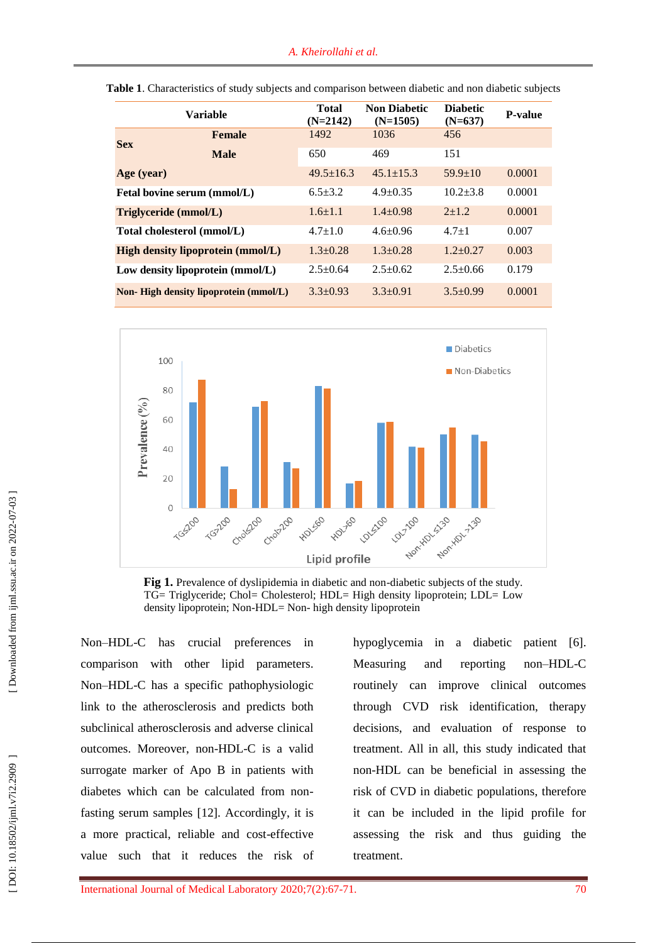| <b>Variable</b>                          |               | <b>Total</b><br>$(N=2142)$ | <b>Non Diabetic</b><br>$(N=1505)$ | <b>Diabetic</b><br>$(N=637)$ | <b>P-value</b> |
|------------------------------------------|---------------|----------------------------|-----------------------------------|------------------------------|----------------|
| <b>Sex</b>                               | <b>Female</b> | 1492                       | 1036                              | 456                          |                |
|                                          | <b>Male</b>   | 650                        | 469                               | 151                          |                |
| Age (year)                               |               | $49.5 \pm 16.3$            | $45.1 \pm 15.3$                   | $59.9 \pm 10$                | 0.0001         |
| Fetal bovine serum (mmol/L)              |               | $6.5 \pm 3.2$              | $4.9+0.35$                        | $10.2 + 3.8$                 | 0.0001         |
| Triglyceride (mmol/L)                    |               | $1.6 + 1.1$                | $1.4 + 0.98$                      | $2+1.2$                      | 0.0001         |
| Total cholesterol (mmol/L)               |               | $4.7 + 1.0$                | $4.6 \pm 0.96$                    | $4.7 + 1$                    | 0.007          |
| <b>High density lipoprotein (mmol/L)</b> |               | $1.3+0.28$                 | $1.3 + 0.28$                      | $1.2 \pm 0.27$               | 0.003          |
| Low density lipoprotein (mmol/L)         |               | $2.5 \pm 0.64$             | $2.5+0.62$                        | $2.5 \pm 0.66$               | 0.179          |
| Non-High density lipoprotein (mmol/L)    |               | $3.3 + 0.93$               | $3.3+0.91$                        | $3.5+0.99$                   | 0.0001         |

|  | <b>Table 1.</b> Characteristics of study subjects and comparison between diabetic and non diabetic subjects |  |
|--|-------------------------------------------------------------------------------------------------------------|--|
|  |                                                                                                             |  |



Fig 1. Prevalence of dyslipidemia in diabetic and non-diabetic subjects of the study. TG= Triglyceride; Chol= Cholesterol; HDL= High density lipoprotein; LDL= Low density lipoprotein; Non -HDL= Non - high density lipoprotein

Non –HDL has crucial preferences in comparison with other lipid parameters. Non –HDL -C has a specific pathophysiologic link to the atherosclerosis and predicts both subclinical atherosclerosis and adverse clinical outcomes. Moreover, non -HDL -C is a valid surrogate marker of Apo B in patients with diabetes which can be calculated from non fasting serum samples [12]. Accordingly, it is a more practical, reliable and cost -effective value such that it reduces the risk of

hypoglycemia in a diabetic patient [6]. Measuring and reporting –HDL -C routinely can improve clinical outcomes through CVD risk identification, therapy decisions, and evaluation of response to treatment. All in all, this study indicated that non -HDL can be beneficial in assessing the risk of CVD in diabetic population s, therefore it can be included in the lipid profile for assessing the risk and thus guiding the treatment.

DOI: 10.18502/ijml.v7i2.2909